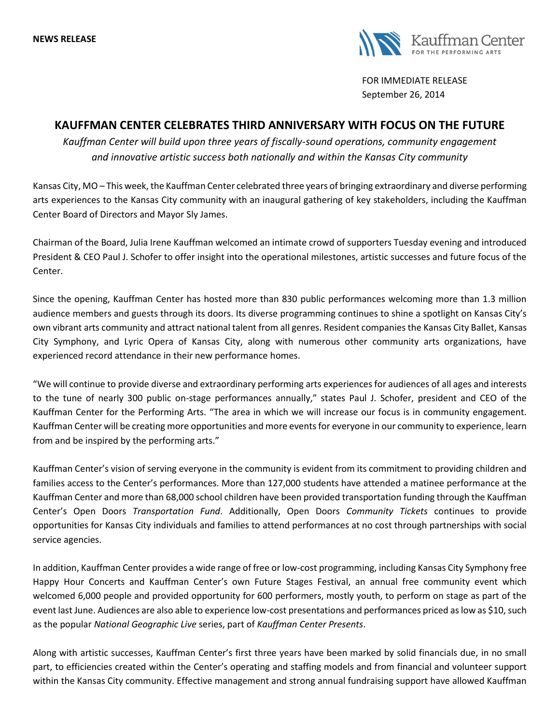

FOR IMMEDIATE RELEASE September 26, 2014

## **KAUFFMAN CENTER CELEBRATES THIRD ANNIVERSARY WITH FOCUS ON THE FUTURE**

*Kauffman Center will build upon three years of fiscally-sound operations, community engagement and innovative artistic success both nationally and within the Kansas City community*

Kansas City, MO – This week, the Kauffman Center celebrated three years of bringing extraordinary and diverse performing arts experiences to the Kansas City community with an inaugural gathering of key stakeholders, including the Kauffman Center Board of Directors and Mayor Sly James.

Chairman of the Board, Julia Irene Kauffman welcomed an intimate crowd of supporters Tuesday evening and introduced President & CEO Paul J. Schofer to offer insight into the operational milestones, artistic successes and future focus of the Center.

Since the opening, Kauffman Center has hosted more than 830 public performances welcoming more than 1.3 million audience members and guests through its doors. Its diverse programming continues to shine a spotlight on Kansas City's own vibrant arts community and attract national talent from all genres. Resident companies the Kansas City Ballet, Kansas City Symphony, and Lyric Opera of Kansas City, along with numerous other community arts organizations, have experienced record attendance in their new performance homes.

"We will continue to provide diverse and extraordinary performing arts experiences for audiences of all ages and interests to the tune of nearly 300 public on-stage performances annually," states Paul J. Schofer, president and CEO of the Kauffman Center for the Performing Arts. "The area in which we will increase our focus is in community engagement. Kauffman Center will be creating more opportunities and more events for everyone in our community to experience, learn from and be inspired by the performing arts."

Kauffman Center's vision of serving everyone in the community is evident from its commitment to providing children and families access to the Center's performances. More than 127,000 students have attended a matinee performance at the Kauffman Center and more than 68,000 school children have been provided transportation funding through the Kauffman Center's Open Doors *Transportation Fund*. Additionally, Open Doors *Community Tickets* continues to provide opportunities for Kansas City individuals and families to attend performances at no cost through partnerships with social service agencies.

In addition, Kauffman Center provides a wide range of free or low-cost programming, including Kansas City Symphony free Happy Hour Concerts and Kauffman Center's own Future Stages Festival, an annual free community event which welcomed 6,000 people and provided opportunity for 600 performers, mostly youth, to perform on stage as part of the event last June. Audiences are also able to experience low-cost presentations and performances priced as low as \$10, such as the popular *National Geographic Live* series, part of *Kauffman Center Presents*.

Along with artistic successes, Kauffman Center's first three years have been marked by solid financials due, in no small part, to efficiencies created within the Center's operating and staffing models and from financial and volunteer support within the Kansas City community. Effective management and strong annual fundraising support have allowed Kauffman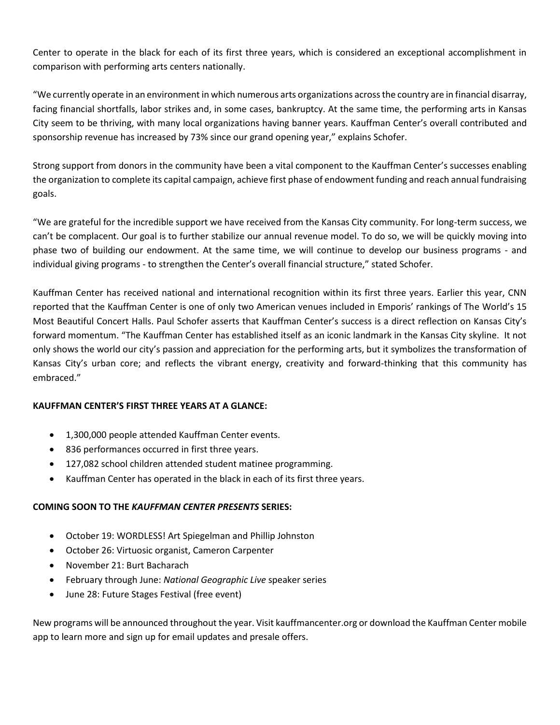Center to operate in the black for each of its first three years, which is considered an exceptional accomplishment in comparison with performing arts centers nationally.

"We currently operate in an environment in which numerous arts organizations across the country are in financial disarray, facing financial shortfalls, labor strikes and, in some cases, bankruptcy. At the same time, the performing arts in Kansas City seem to be thriving, with many local organizations having banner years. Kauffman Center's overall contributed and sponsorship revenue has increased by 73% since our grand opening year," explains Schofer.

Strong support from donors in the community have been a vital component to the Kauffman Center's successes enabling the organization to complete its capital campaign, achieve first phase of endowment funding and reach annual fundraising goals.

"We are grateful for the incredible support we have received from the Kansas City community. For long-term success, we can't be complacent. Our goal is to further stabilize our annual revenue model. To do so, we will be quickly moving into phase two of building our endowment. At the same time, we will continue to develop our business programs - and individual giving programs - to strengthen the Center's overall financial structure," stated Schofer.

Kauffman Center has received national and international recognition within its first three years. Earlier this year, CNN reported that the Kauffman Center is one of only two American venues included in Emporis' rankings of The World's 15 Most Beautiful Concert Halls. Paul Schofer asserts that Kauffman Center's success is a direct reflection on Kansas City's forward momentum. "The Kauffman Center has established itself as an iconic landmark in the Kansas City skyline. It not only shows the world our city's passion and appreciation for the performing arts, but it symbolizes the transformation of Kansas City's urban core; and reflects the vibrant energy, creativity and forward-thinking that this community has embraced."

## **KAUFFMAN CENTER'S FIRST THREE YEARS AT A GLANCE:**

- 1,300,000 people attended Kauffman Center events.
- 836 performances occurred in first three years.
- 127,082 school children attended student matinee programming.
- Kauffman Center has operated in the black in each of its first three years.

## **COMING SOON TO THE** *KAUFFMAN CENTER PRESENTS* **SERIES:**

- October 19: WORDLESS! Art Spiegelman and Phillip Johnston
- October 26: Virtuosic organist, Cameron Carpenter
- November 21: Burt Bacharach
- February through June: *National Geographic Live* speaker series
- June 28: Future Stages Festival (free event)

New programs will be announced throughout the year. Visit kauffmancenter.org or download the Kauffman Center mobile app to learn more and sign up for email updates and presale offers.